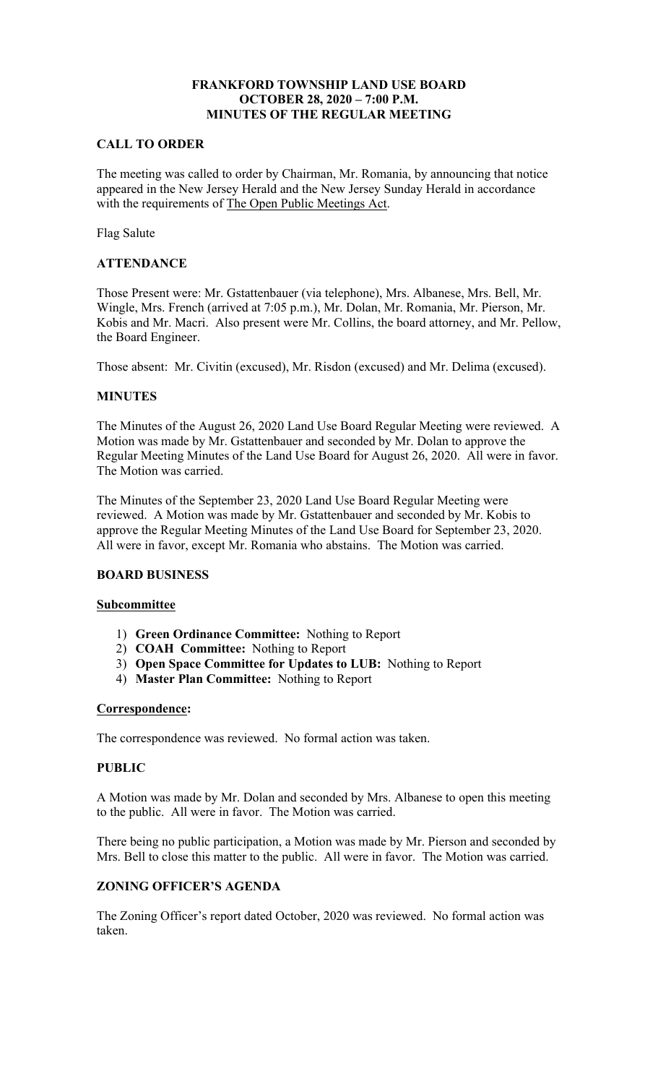# **OCTOBER 28, 2020 – 7:00 P.M. FRANKFORD TOWNSHIP LAND USE BOARD MINUTES OF THE REGULAR MEETING**

#### **CALL TO ORDER**

with the requirements of The Open Public Meetings Act. The meeting was called to order by Chairman, Mr. Romania, by announcing that notice appeared in the New Jersey Herald and the New Jersey Sunday Herald in accordance

Flag Salute

# **ATTENDANCE**

 Kobis and Mr. Macri. Also present were Mr. Collins, the board attorney, and Mr. Pellow, Those Present were: Mr. Gstattenbauer (via telephone), Mrs. Albanese, Mrs. Bell, Mr. Wingle, Mrs. French (arrived at 7:05 p.m.), Mr. Dolan, Mr. Romania, Mr. Pierson, Mr. the Board Engineer.

Those absent: Mr. Civitin (excused), Mr. Risdon (excused) and Mr. Delima (excused).

# **MINUTES**

The Minutes of the August 26, 2020 Land Use Board Regular Meeting were reviewed. A Motion was made by Mr. Gstattenbauer and seconded by Mr. Dolan to approve the Regular Meeting Minutes of the Land Use Board for August 26, 2020. All were in favor. The Motion was carried.

The Minutes of the September 23, 2020 Land Use Board Regular Meeting were reviewed. A Motion was made by Mr. Gstattenbauer and seconded by Mr. Kobis to approve the Regular Meeting Minutes of the Land Use Board for September 23, 2020. All were in favor, except Mr. Romania who abstains. The Motion was carried.

# **BOARD BUSINESS**

# **Subcommittee**

- 1) **Green Ordinance Committee:** Nothing to Report
- 2) **COAH Committee:** Nothing to Report
- 3) **Open Space Committee for Updates to LUB:** Nothing to Report
- 4) **Master Plan Committee:** Nothing to Report

# **Correspondence:**

The correspondence was reviewed. No formal action was taken.

# **PUBLIC**

A Motion was made by Mr. Dolan and seconded by Mrs. Albanese to open this meeting to the public. All were in favor. The Motion was carried.

There being no public participation, a Motion was made by Mr. Pierson and seconded by Mrs. Bell to close this matter to the public. All were in favor. The Motion was carried.

# **ZONING OFFICER'S AGENDA**

The Zoning Officer's report dated October, 2020 was reviewed. No formal action was taken.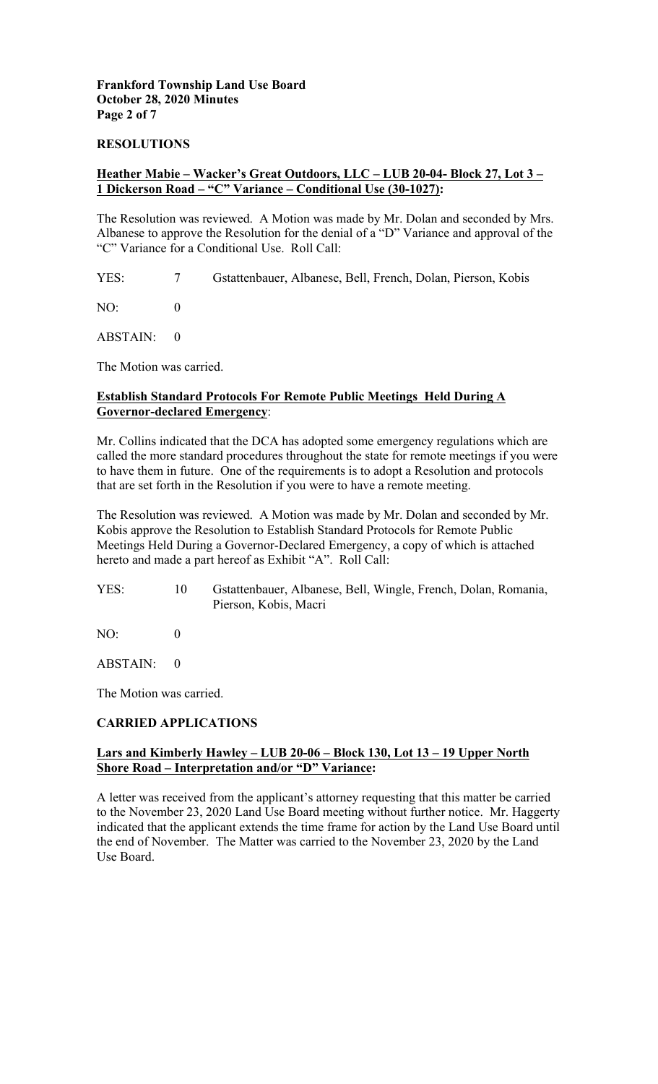# **Frankford Township Land Use Board October 28, 2020 Minutes Page 2 of 7**

#### **RESOLUTIONS**

## **Heather Mabie – Wacker's Great Outdoors, LLC – LUB 20-04- Block 27, Lot 3 – 1 Dickerson Road – "C" Variance – Conditional Use (30-1027):**

The Resolution was reviewed. A Motion was made by Mr. Dolan and seconded by Mrs. Albanese to approve the Resolution for the denial of a "D" Variance and approval of the "C" Variance for a Conditional Use. Roll Call:

YES: 7 Gstattenbauer, Albanese, Bell, French, Dolan, Pierson, Kobis

NO: 0

ABSTAIN: 0

The Motion was carried.

# **Establish Standard Protocols For Remote Public Meetings Held During A Governor-declared Emergency**:

Mr. Collins indicated that the DCA has adopted some emergency regulations which are called the more standard procedures throughout the state for remote meetings if you were to have them in future. One of the requirements is to adopt a Resolution and protocols that are set forth in the Resolution if you were to have a remote meeting.

The Resolution was reviewed. A Motion was made by Mr. Dolan and seconded by Mr. Kobis approve the Resolution to Establish Standard Protocols for Remote Public Meetings Held During a Governor-Declared Emergency, a copy of which is attached hereto and made a part hereof as Exhibit "A". Roll Call:

YES: 10 Gstattenbauer, Albanese, Bell, Wingle, French, Dolan, Romania, Pierson, Kobis, Macri

NO: 0

ABSTAIN: 0

The Motion was carried.

# **CARRIED APPLICATIONS**

# **Lars and Kimberly Hawley – LUB 20-06 – Block 130, Lot 13 – 19 Upper North Shore Road – Interpretation and/or "D" Variance:**

 to the November 23, 2020 Land Use Board meeting without further notice. Mr. Haggerty Use Board. A letter was received from the applicant's attorney requesting that this matter be carried indicated that the applicant extends the time frame for action by the Land Use Board until the end of November. The Matter was carried to the November 23, 2020 by the Land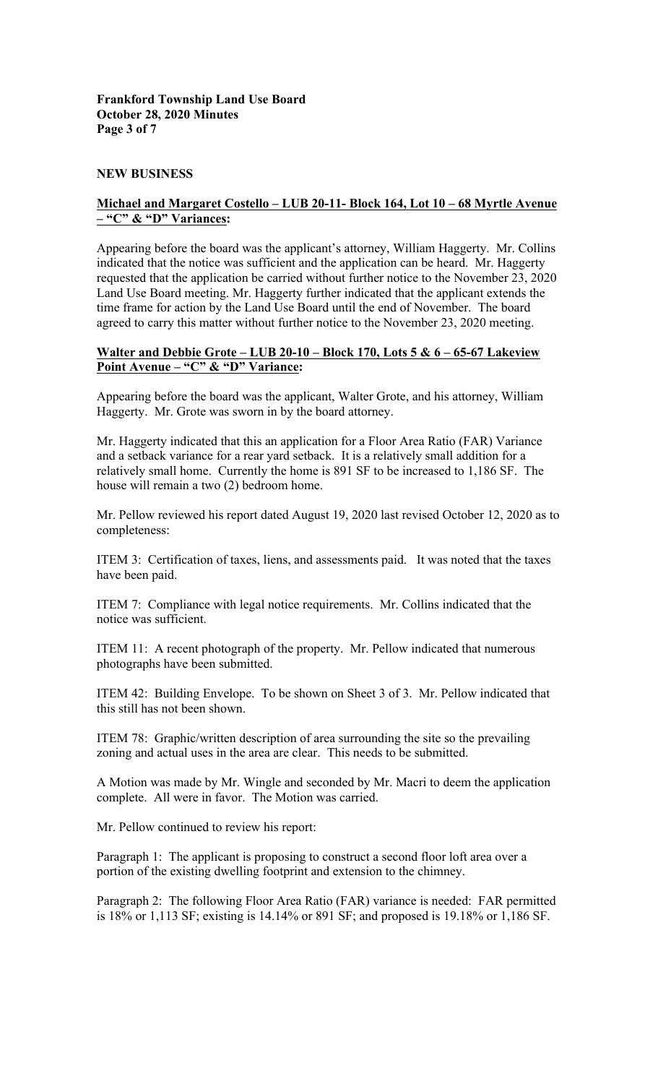**Frankford Township Land Use Board October 28, 2020 Minutes Page 3 of 7** 

#### **NEW BUSINESS**

#### **Michael and Margaret Costello – LUB 20-11- Block 164, Lot 10 – 68 Myrtle Avenue – "C" & "D" Variances:**

Appearing before the board was the applicant's attorney, William Haggerty. Mr. Collins indicated that the notice was sufficient and the application can be heard. Mr. Haggerty requested that the application be carried without further notice to the November 23, 2020 Land Use Board meeting. Mr. Haggerty further indicated that the applicant extends the time frame for action by the Land Use Board until the end of November. The board agreed to carry this matter without further notice to the November 23, 2020 meeting.

#### **Walter and Debbie Grote – LUB 20-10 – Block 170, Lots 5 & 6 – 65-67 Lakeview Point Avenue – "C" & "D" Variance:**

Appearing before the board was the applicant, Walter Grote, and his attorney, William Haggerty. Mr. Grote was sworn in by the board attorney.

Mr. Haggerty indicated that this an application for a Floor Area Ratio (FAR) Variance and a setback variance for a rear yard setback. It is a relatively small addition for a relatively small home. Currently the home is 891 SF to be increased to 1,186 SF. The house will remain a two (2) bedroom home.

Mr. Pellow reviewed his report dated August 19, 2020 last revised October 12, 2020 as to completeness:

ITEM 3: Certification of taxes, liens, and assessments paid. It was noted that the taxes have been paid.

ITEM 7: Compliance with legal notice requirements. Mr. Collins indicated that the notice was sufficient.

 ITEM 11: A recent photograph of the property. Mr. Pellow indicated that numerous photographs have been submitted.

ITEM 42: Building Envelope. To be shown on Sheet 3 of 3. Mr. Pellow indicated that this still has not been shown.

ITEM 78: Graphic/written description of area surrounding the site so the prevailing zoning and actual uses in the area are clear. This needs to be submitted.

A Motion was made by Mr. Wingle and seconded by Mr. Macri to deem the application complete. All were in favor. The Motion was carried.

Mr. Pellow continued to review his report:

Paragraph 1: The applicant is proposing to construct a second floor loft area over a portion of the existing dwelling footprint and extension to the chimney.

 Paragraph 2: The following Floor Area Ratio (FAR) variance is needed: FAR permitted is 18% or 1,113 SF; existing is 14.14% or 891 SF; and proposed is 19.18% or 1,186 SF.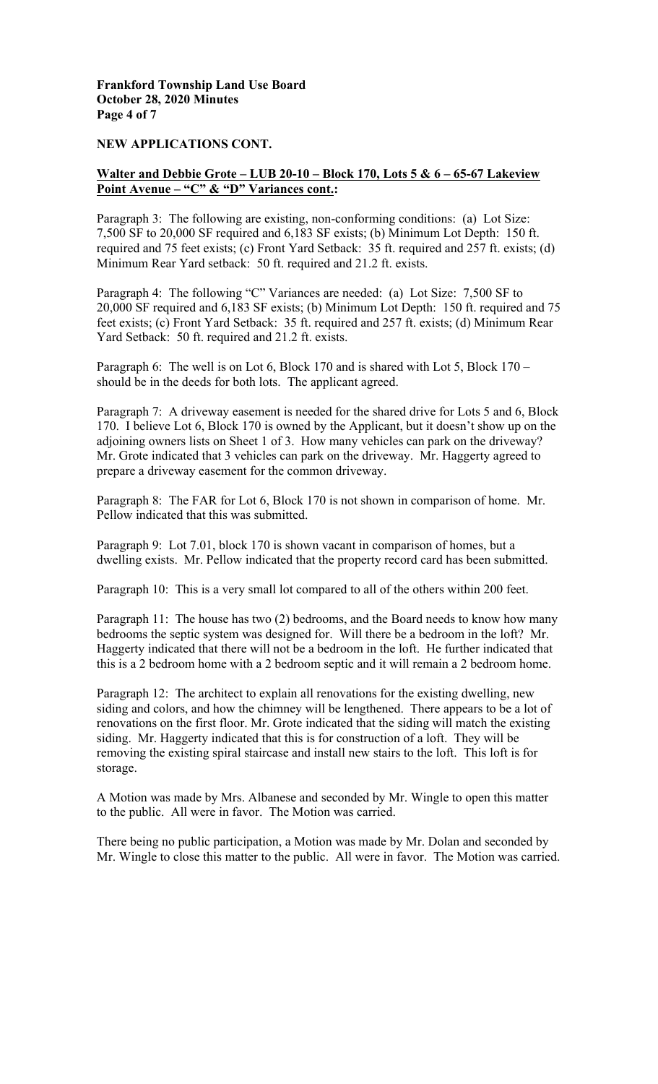# **Frankford Township Land Use Board October 28, 2020 Minutes Page 4 of 7**

#### **NEW APPLICATIONS CONT.**

## **Walter and Debbie Grote – LUB 20-10 – Block 170, Lots 5 & 6 – 65-67 Lakeview Point Avenue – "C" & "D" Variances cont.:**

Paragraph 3: The following are existing, non-conforming conditions: (a) Lot Size: 7,500 SF to 20,000 SF required and 6,183 SF exists; (b) Minimum Lot Depth: 150 ft. required and 75 feet exists; (c) Front Yard Setback: 35 ft. required and 257 ft. exists; (d) Minimum Rear Yard setback: 50 ft. required and 21.2 ft. exists.

Paragraph 4: The following "C" Variances are needed: (a) Lot Size: 7,500 SF to 20,000 SF required and 6,183 SF exists; (b) Minimum Lot Depth: 150 ft. required and 75 feet exists; (c) Front Yard Setback: 35 ft. required and 257 ft. exists; (d) Minimum Rear Yard Setback: 50 ft. required and 21.2 ft. exists.

Paragraph 6: The well is on Lot 6, Block 170 and is shared with Lot 5, Block 170 – should be in the deeds for both lots. The applicant agreed.

adjoining owners lists on Sheet 1 of 3. How many vehicles can park on the driveway? Paragraph 7: A driveway easement is needed for the shared drive for Lots 5 and 6, Block 170. I believe Lot 6, Block 170 is owned by the Applicant, but it doesn't show up on the Mr. Grote indicated that 3 vehicles can park on the driveway. Mr. Haggerty agreed to prepare a driveway easement for the common driveway.

Paragraph 8: The FAR for Lot 6, Block 170 is not shown in comparison of home. Mr. Pellow indicated that this was submitted.

Paragraph 9: Lot 7.01, block 170 is shown vacant in comparison of homes, but a dwelling exists. Mr. Pellow indicated that the property record card has been submitted.

Paragraph 10: This is a very small lot compared to all of the others within 200 feet.

Paragraph 11: The house has two (2) bedrooms, and the Board needs to know how many bedrooms the septic system was designed for. Will there be a bedroom in the loft? Mr. Haggerty indicated that there will not be a bedroom in the loft. He further indicated that this is a 2 bedroom home with a 2 bedroom septic and it will remain a 2 bedroom home.

 Paragraph 12: The architect to explain all renovations for the existing dwelling, new siding. Mr. Haggerty indicated that this is for construction of a loft. They will be siding and colors, and how the chimney will be lengthened. There appears to be a lot of renovations on the first floor. Mr. Grote indicated that the siding will match the existing removing the existing spiral staircase and install new stairs to the loft. This loft is for storage.

A Motion was made by Mrs. Albanese and seconded by Mr. Wingle to open this matter to the public. All were in favor. The Motion was carried.

There being no public participation, a Motion was made by Mr. Dolan and seconded by Mr. Wingle to close this matter to the public. All were in favor. The Motion was carried.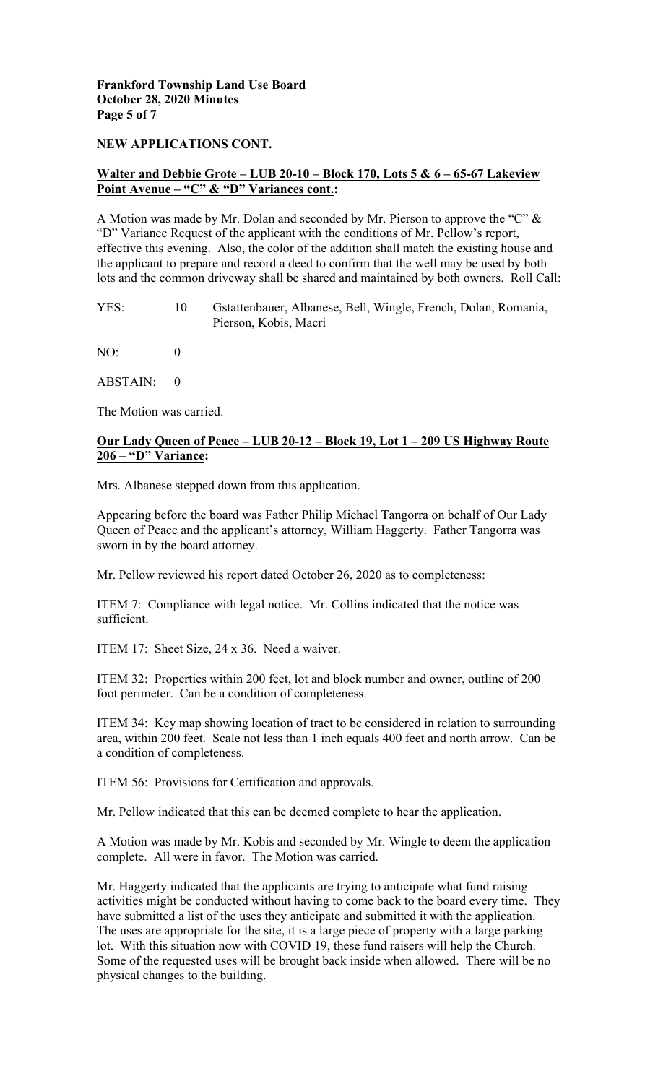# **Frankford Township Land Use Board October 28, 2020 Minutes Page 5 of 7**

#### **NEW APPLICATIONS CONT.**

#### **Walter and Debbie Grote – LUB 20-10 – Block 170, Lots 5 & 6 – 65-67 Lakeview Point Avenue – "C" & "D" Variances cont.:**

 lots and the common driveway shall be shared and maintained by both owners. Roll Call: A Motion was made by Mr. Dolan and seconded by Mr. Pierson to approve the "C"  $\&$ "D" Variance Request of the applicant with the conditions of Mr. Pellow's report, effective this evening. Also, the color of the addition shall match the existing house and the applicant to prepare and record a deed to confirm that the well may be used by both

YES: 10 Gstattenbauer, Albanese, Bell, Wingle, French, Dolan, Romania, Pierson, Kobis, Macri

NO: 0

ABSTAIN: 0

The Motion was carried.

# **Our Lady Queen of Peace – LUB 20-12 – Block 19, Lot 1 – 209 US Highway Route 206 – "D" Variance:**

Mrs. Albanese stepped down from this application.

 Queen of Peace and the applicant's attorney, William Haggerty. Father Tangorra was Appearing before the board was Father Philip Michael Tangorra on behalf of Our Lady sworn in by the board attorney.

Mr. Pellow reviewed his report dated October 26, 2020 as to completeness:

ITEM 7: Compliance with legal notice. Mr. Collins indicated that the notice was sufficient.

ITEM 17: Sheet Size, 24 x 36. Need a waiver.

ITEM 32: Properties within 200 feet, lot and block number and owner, outline of 200 foot perimeter. Can be a condition of completeness.

ITEM 34: Key map showing location of tract to be considered in relation to surrounding area, within 200 feet. Scale not less than 1 inch equals 400 feet and north arrow. Can be a condition of completeness.

ITEM 56: Provisions for Certification and approvals.

Mr. Pellow indicated that this can be deemed complete to hear the application.

A Motion was made by Mr. Kobis and seconded by Mr. Wingle to deem the application complete. All were in favor. The Motion was carried.

Mr. Haggerty indicated that the applicants are trying to anticipate what fund raising activities might be conducted without having to come back to the board every time. They have submitted a list of the uses they anticipate and submitted it with the application. The uses are appropriate for the site, it is a large piece of property with a large parking lot. With this situation now with COVID 19, these fund raisers will help the Church. Some of the requested uses will be brought back inside when allowed. There will be no physical changes to the building.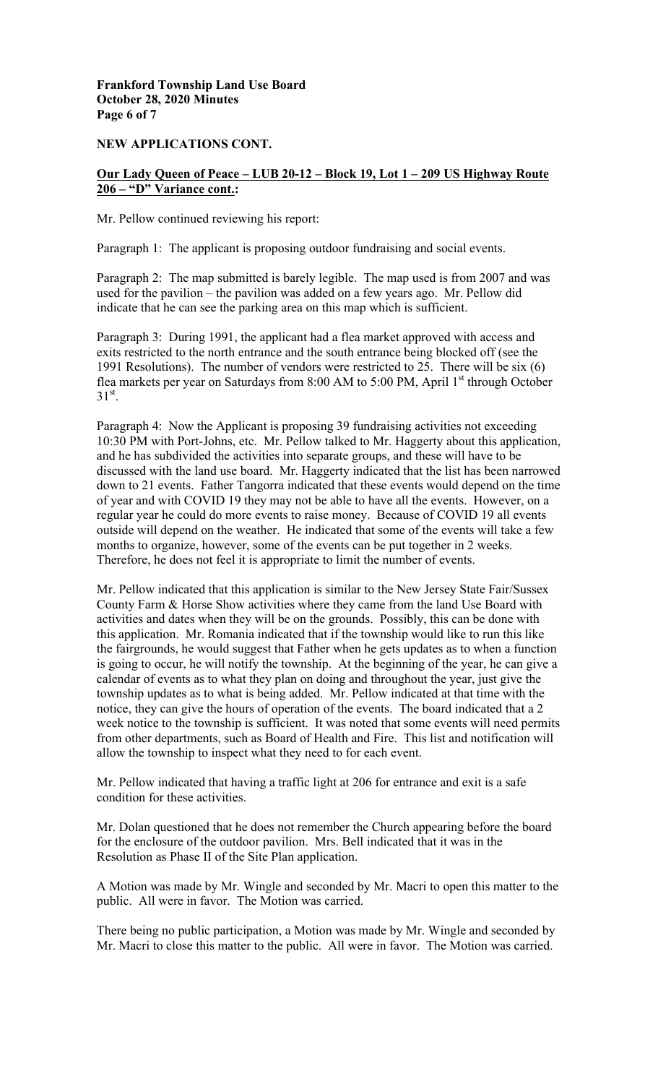# **Frankford Township Land Use Board October 28, 2020 Minutes Page 6 of 7**

#### **NEW APPLICATIONS CONT.**

# **Our Lady Queen of Peace – LUB 20-12 – Block 19, Lot 1 – 209 US Highway Route 206 – "D" Variance cont.:**

Mr. Pellow continued reviewing his report:

Paragraph 1: The applicant is proposing outdoor fundraising and social events.

 indicate that he can see the parking area on this map which is sufficient. Paragraph 2: The map submitted is barely legible. The map used is from 2007 and was used for the pavilion – the pavilion was added on a few years ago. Mr. Pellow did

Paragraph 3: During 1991, the applicant had a flea market approved with access and exits restricted to the north entrance and the south entrance being blocked off (see the 1991 Resolutions). The number of vendors were restricted to 25. There will be six (6) flea markets per year on Saturdays from  $8:00$  AM to  $5:00$  PM, April  $1<sup>st</sup>$  through October  $31^\text{st}$ .

 and he has subdivided the activities into separate groups, and these will have to be Paragraph 4: Now the Applicant is proposing 39 fundraising activities not exceeding 10:30 PM with Port-Johns, etc. Mr. Pellow talked to Mr. Haggerty about this application, discussed with the land use board. Mr. Haggerty indicated that the list has been narrowed down to 21 events. Father Tangorra indicated that these events would depend on the time of year and with COVID 19 they may not be able to have all the events. However, on a regular year he could do more events to raise money. Because of COVID 19 all events outside will depend on the weather. He indicated that some of the events will take a few months to organize, however, some of the events can be put together in 2 weeks. Therefore, he does not feel it is appropriate to limit the number of events.

 this application. Mr. Romania indicated that if the township would like to run this like Mr. Pellow indicated that this application is similar to the New Jersey State Fair/Sussex County Farm & Horse Show activities where they came from the land Use Board with activities and dates when they will be on the grounds. Possibly, this can be done with the fairgrounds, he would suggest that Father when he gets updates as to when a function is going to occur, he will notify the township. At the beginning of the year, he can give a calendar of events as to what they plan on doing and throughout the year, just give the township updates as to what is being added. Mr. Pellow indicated at that time with the notice, they can give the hours of operation of the events. The board indicated that a 2 week notice to the township is sufficient. It was noted that some events will need permits from other departments, such as Board of Health and Fire. This list and notification will allow the township to inspect what they need to for each event.

Mr. Pellow indicated that having a traffic light at 206 for entrance and exit is a safe condition for these activities.

Mr. Dolan questioned that he does not remember the Church appearing before the board for the enclosure of the outdoor pavilion. Mrs. Bell indicated that it was in the Resolution as Phase II of the Site Plan application.

A Motion was made by Mr. Wingle and seconded by Mr. Macri to open this matter to the public. All were in favor. The Motion was carried.

There being no public participation, a Motion was made by Mr. Wingle and seconded by Mr. Macri to close this matter to the public. All were in favor. The Motion was carried.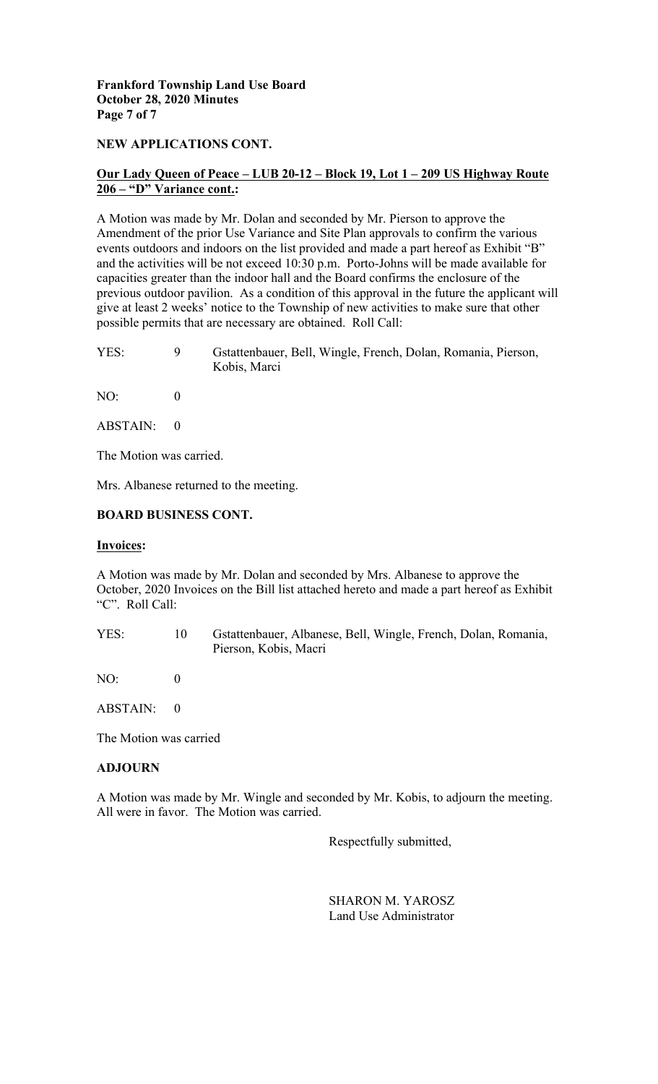# **Frankford Township Land Use Board October 28, 2020 Minutes Page 7 of 7**

#### **NEW APPLICATIONS CONT.**

# **Our Lady Queen of Peace – LUB 20-12 – Block 19, Lot 1 – 209 US Highway Route 206 – "D" Variance cont.:**

 Amendment of the prior Use Variance and Site Plan approvals to confirm the various previous outdoor pavilion. As a condition of this approval in the future the applicant will possible permits that are necessary are obtained. Roll Call: A Motion was made by Mr. Dolan and seconded by Mr. Pierson to approve the events outdoors and indoors on the list provided and made a part hereof as Exhibit "B" and the activities will be not exceed 10:30 p.m. Porto-Johns will be made available for capacities greater than the indoor hall and the Board confirms the enclosure of the give at least 2 weeks' notice to the Township of new activities to make sure that other

| YES: | Gstattenbauer, Bell, Wingle, French, Dolan, Romania, Pierson, |
|------|---------------------------------------------------------------|
|      | Kobis, Marci                                                  |

NO: 0

ABSTAIN: 0

The Motion was carried.

Mrs. Albanese returned to the meeting.

#### **BOARD BUSINESS CONT.**

#### **Invoices:**

 October, 2020 Invoices on the Bill list attached hereto and made a part hereof as Exhibit A Motion was made by Mr. Dolan and seconded by Mrs. Albanese to approve the "C". Roll Call:

 $YES$ 10 Gstattenbauer, Albanese, Bell, Wingle, French, Dolan, Romania, Pierson, Kobis, Macri

NO: 0

ABSTAIN: 0

The Motion was carried

# **ADJOURN**

A Motion was made by Mr. Wingle and seconded by Mr. Kobis, to adjourn the meeting. All were in favor. The Motion was carried.

Respectfully submitted,

SHARON M. YAROSZ Land Use Administrator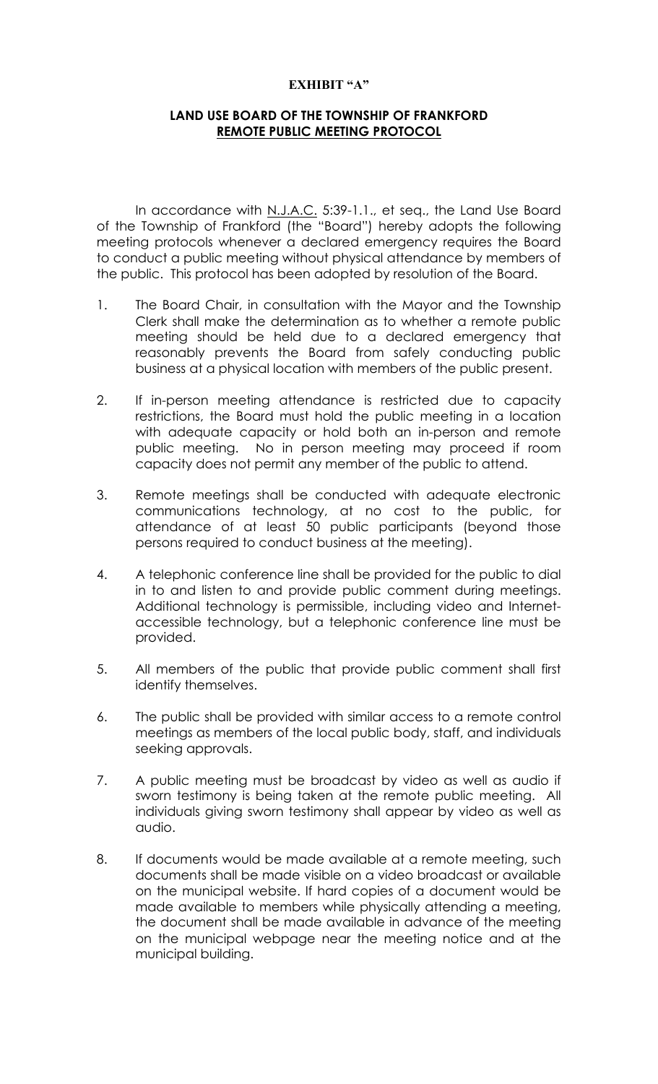# **EXHIBIT "A"**

# **REMOTE PUBLIC MEETING PROTOCOL LAND USE BOARD OF THE TOWNSHIP OF FRANKFORD**

In accordance with N.J.A.C. 5:39-1.1., et seq., the Land Use Board of the Township of Frankford (the "Board") hereby adopts the following meeting protocols whenever a declared emergency requires the Board to conduct a public meeting without physical attendance by members of the public. This protocol has been adopted by resolution of the Board.

- $\overline{1}$ . Clerk shall make the determination as to whether a remote public meeting should be held due to a declared emergency that reasonably prevents the Board from safely conducting public business at a physical location with members of the public present. The Board Chair, in consultation with the Mayor and the Township
- 2. If in-person meeting attendance is restricted due to capacity restrictions, the Board must hold the public meeting in a location with adequate capacity or hold both an in-person and remote public meeting. No in person meeting may proceed if room capacity does not permit any member of the public to attend.
- 3. Remote meetings shall be conducted with adequate electronic communications technology, at no cost to the public, for attendance of at least 50 public participants (beyond those persons required to conduct business at the meeting).
- $\overline{4}$ . in to and listen to and provide public comment during meetings. Additional technology is permissible, including video and Internet- accessible technology, but a telephonic conference line must be A telephonic conference line shall be provided for the public to dial provided.
- 5. All members of the public that provide public comment shall first identify themselves.
- 6. meetings as members of the local public body, staff, and individuals The public shall be provided with similar access to a remote control seeking approvals.
- $7.$  sworn testimony is being taken at the remote public meeting. All individuals giving sworn testimony shall appear by video as well as A public meeting must be broadcast by video as well as audio if audio.
- 8. If documents would be made available at a remote meeting, such documents shall be made visible on a video broadcast or available on the municipal website. If hard copies of a document would be made available to members while physically attending a meeting, the document shall be made available in advance of the meeting on the municipal webpage near the meeting notice and at the municipal building.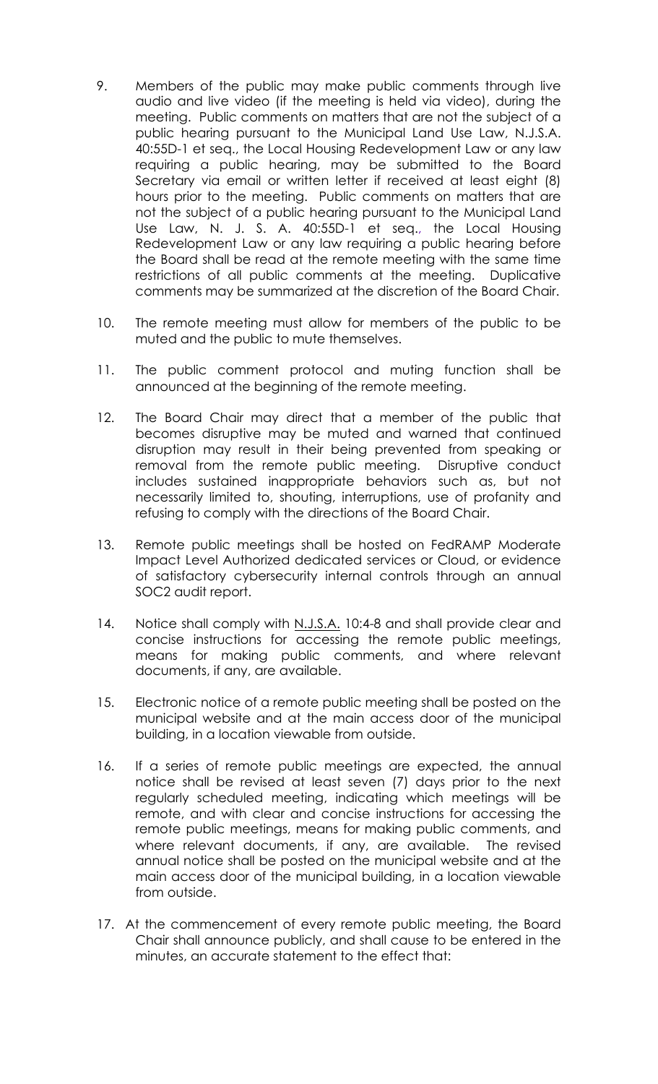- 9. Members of the public may make public comments through live audio and live video (if the meeting is held via video), during the meeting. Public comments on matters that are not the subject of a public hearing pursuant to the Municipal Land Use Law, N.J.S.A. 40:55D-1 et seq., the Local Housing Redevelopment Law or any law requiring a public hearing, may be submitted to the Board Secretary via email or written letter if received at least eight (8) hours prior to the meeting. Public comments on matters that are not the subject of a public hearing pursuant to the Municipal Land Use Law, N. J. S. A. 40:55D-1 et seq., the Local Housing Redevelopment Law or any law requiring a public hearing before the Board shall be read at the remote meeting with the same time restrictions of all public comments at the meeting. Duplicative comments may be summarized at the discretion of the Board Chair.
- $10.$  muted and the public to mute themselves. The remote meeting must allow for members of the public to be
- $11.$  announced at the beginning of the remote meeting. The public comment protocol and muting function shall be
- $12.$  becomes disruptive may be muted and warned that continued disruption may result in their being prevented from speaking or removal from the remote public meeting. Disruptive conduct includes sustained inappropriate behaviors such as, but not necessarily limited to, shouting, interruptions, use of profanity and refusing to comply with the directions of the Board Chair. The Board Chair may direct that a member of the public that
- 13. Remote public meetings shall be hosted on FedRAMP Moderate Impact Level Authorized dedicated services or Cloud, or evidence of satisfactory cybersecurity internal controls through an annual SOC2 audit report.
- $14.$  concise instructions for accessing the remote public meetings, means for making public comments, and where relevant documents, if any, are available. Notice shall comply with N.J.S.A. 10:4-8 and shall provide clear and
- 15. Electronic notice of a remote public meeting shall be posted on the municipal website and at the main access door of the municipal building, in a location viewable from outside.
- 16. notice shall be revised at least seven (7) days prior to the next regularly scheduled meeting, indicating which meetings will be remote, and with clear and concise instructions for accessing the remote public meetings, means for making public comments, and where relevant documents, if any, are available. The revised annual notice shall be posted on the municipal website and at the main access door of the municipal building, in a location viewable If a series of remote public meetings are expected, the annual from outside.
- 17. At the commencement of every remote public meeting, the Board Chair shall announce publicly, and shall cause to be entered in the minutes, an accurate statement to the effect that: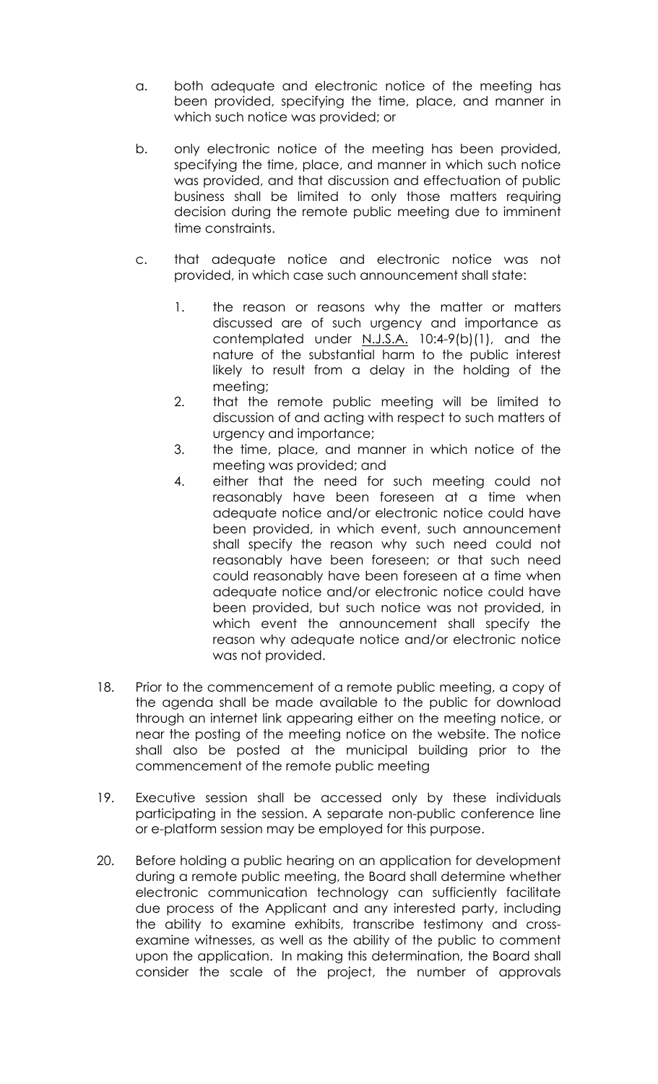- a. been provided, specifying the time, place, and manner in which such notice was provided; or both adequate and electronic notice of the meeting has
- $b.$  specifying the time, place, and manner in which such notice was provided, and that discussion and effectuation of public business shall be limited to only those matters requiring decision during the remote public meeting due to imminent only electronic notice of the meeting has been provided, time constraints.
- C. provided, in which case such announcement shall state: that adequate notice and electronic notice was not
	- 1. discussed are of such urgency and importance as contemplated under N.J.S.A. 10:4-9(b)(1), and the nature of the substantial harm to the public interest likely to result from a delay in the holding of the meeting; the reason or reasons why the matter or matters
	- 2. discussion of and acting with respect to such matters of urgency and importance; that the remote public meeting will be limited to
	- 3. meeting was provided; and the time, place, and manner in which notice of the
	- reasonably have been foreseen at a time when adequate notice and/or electronic notice could have been provided, in which event, such announcement shall specify the reason why such need could not reasonably have been foreseen; or that such need could reasonably have been foreseen at a time when adequate notice and/or electronic notice could have been provided, but such notice was not provided, in which event the announcement shall specify the reason why adequate notice and/or electronic notice 4. either that the need for such meeting could not was not provided.
- 18. the agenda shall be made available to the public for download through an internet link appearing either on the meeting notice, or near the posting of the meeting notice on the website. The notice shall also be posted at the municipal building prior to the commencement of the remote public meeting Prior to the commencement of a remote public meeting, a copy of
- 19. Executive session shall be accessed only by these individuals participating in the session. A separate non-public conference line or e-platform session may be employed for this purpose.
- $20<sub>1</sub>$  during a remote public meeting, the Board shall determine whether electronic communication technology can sufficiently facilitate due process of the Applicant and any interested party, including the ability to examine exhibits, transcribe testimony and cross- examine witnesses, as well as the ability of the public to comment upon the application. In making this determination, the Board shall consider the scale of the project, the number of approvals Before holding a public hearing on an application for development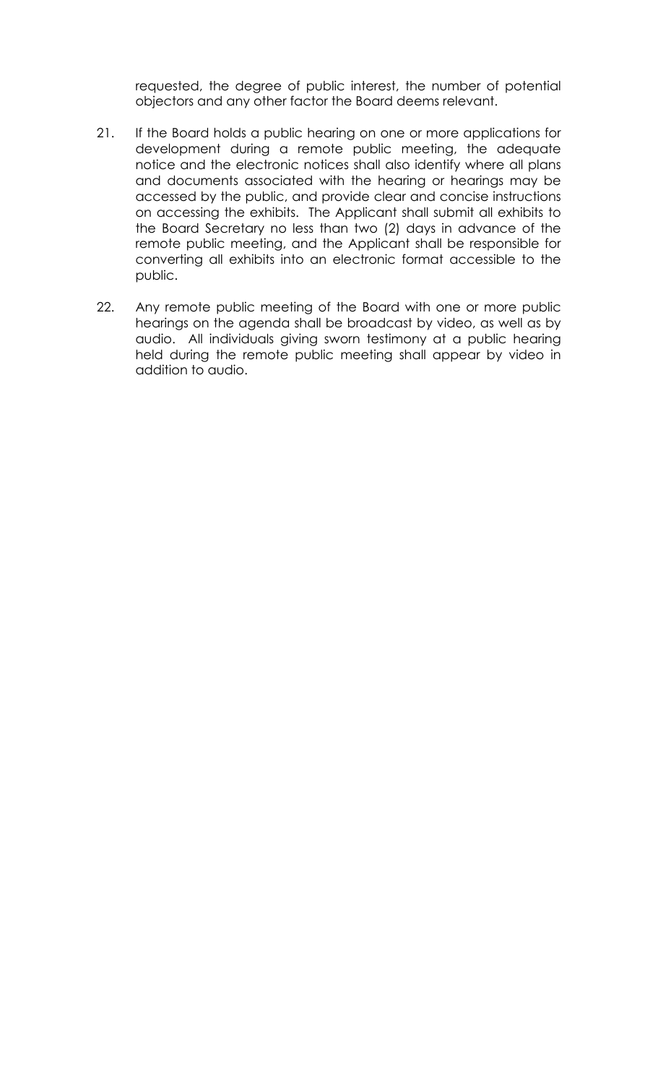requested, the degree of public interest, the number of potential objectors and any other factor the Board deems relevant.

- $21.$  development during a remote public meeting, the adequate notice and the electronic notices shall also identify where all plans and documents associated with the hearing or hearings may be accessed by the public, and provide clear and concise instructions on accessing the exhibits. The Applicant shall submit all exhibits to the Board Secretary no less than two (2) days in advance of the remote public meeting, and the Applicant shall be responsible for converting all exhibits into an electronic format accessible to the public. If the Board holds a public hearing on one or more applications for
- 22. hearings on the agenda shall be broadcast by video, as well as by audio. All individuals giving sworn testimony at a public hearing held during the remote public meeting shall appear by video in Any remote public meeting of the Board with one or more public addition to audio.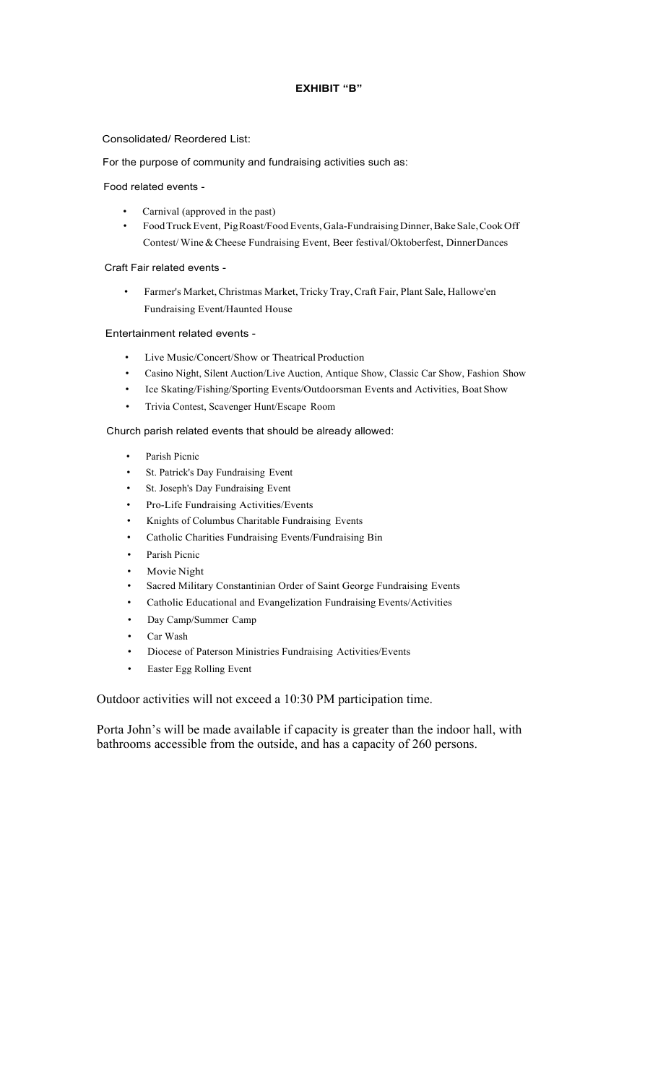#### **EXHIBIT "B"**

#### Consolidated/ Reordered List:

For the purpose of community and fundraising activities such as:

Food related events -

- • Carnival (approved in the past)
- • Food Truck Event, Pig Roast/Food Events, Gala-Fundraising Dinner, Bake Sale, Cook Off Contest/ Wine & Cheese Fundraising Event, Beer festival/Oktoberfest, Dinner Dances

Craft Fair related events -

 • Farmer's Market, Christmas Market, Tricky Tray, Craft Fair, Plant Sale, Hallowe'en Fundraising Event/Haunted House

Entertainment related events -

- • Live Music/Concert/Show or Theatrical Production
- • Casino Night, Silent Auction/Live Auction, Antique Show, Classic Car Show, Fashion Show
- Ice Skating/Fishing/Sporting Events/Outdoorsman Events and Activities, Boat Show
- • Trivia Contest, Scavenger Hunt/Escape Room

Church parish related events that should be already allowed:

- Parish Picnic
- • St. Patrick's Day Fundraising Event
- • St. Joseph's Day Fundraising Event
- Pro-Life Fundraising Activities/Events
- • Knights of Columbus Charitable Fundraising Events
- • Catholic Charities Fundraising Events/Fundraising Bin
- Parish Picnic
- Movie Night
- • Sacred Military Constantinian Order of Saint George Fundraising Events
- • Catholic Educational and Evangelization Fundraising Events/Activities
- • Day Camp/Summer Camp
- • Car Wash
- • Diocese of Paterson Ministries Fundraising Activities/Events
- • Easter Egg Rolling Event

Outdoor activities will not exceed a 10:30 PM participation time.

Porta John's will be made available if capacity is greater than the indoor hall, with bathrooms accessible from the outside, and has a capacity of 260 persons.